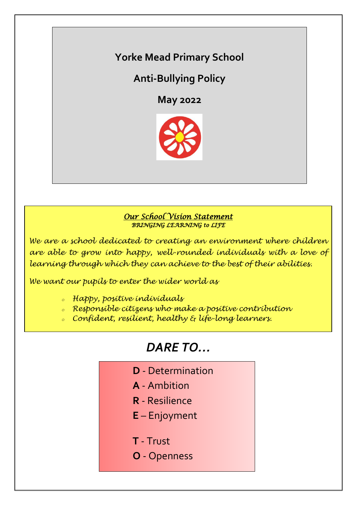# **Yorke Mead Primary School**

# **Anti-Bullying Policy**

**May 2022**



#### *Our School Vision Statement BRINGING LEARNING to LIFE*

*We are a school dedicated to creating an environment where children are able to grow into happy, well-rounded individuals with a love of learning through which they can achieve to the best of their abilities.*

*We want our pupils to enter the wider world as*

- *<sup>o</sup> Happy, positive individuals*
- *<sup>o</sup> Responsible citizens who make a positive contribution*
- *<sup>o</sup> Confident, resilient, healthy & life-long learners.*

# *DARE TO…*

- **D** Determination
- **A** Ambition
- **R** Resilience
- **E** Enjoyment
- **T** Trust
- **O** Openness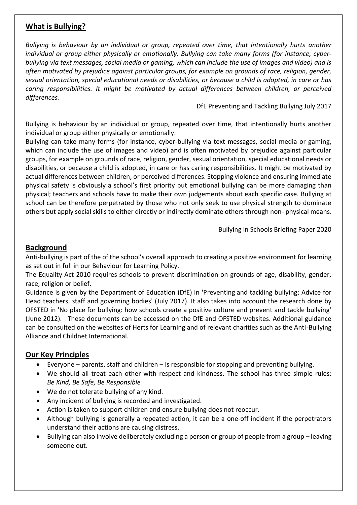## **What is Bullying?**

*Bullying is behaviour by an individual or group, repeated over time, that intentionally hurts another*  individual or group either physically or emotionally. Bullying can take many forms (for *instance*, cyber*bullying via text messages, social media or gaming, which can include the use of images and video) and is often motivated by prejudice against particular groups, for example on grounds of race, religion, gender, sexual orientation, special educational needs or disabilities, or because a child is adopted, in care or has caring responsibilities. It might be motivated by actual differences between children, or perceived differences.*

DfE Preventing and Tackling Bullying July 2017

Bullying is behaviour by an individual or group, repeated over time, that intentionally hurts another individual or group either physically or emotionally.

Bullying can take many forms (for instance, cyber-bullying via text messages, social media or gaming, which can include the use of images and video) and is often motivated by prejudice against particular groups, for example on grounds of race, religion, gender, sexual orientation, special educational needs or disabilities, or because a child is adopted, in care or has caring responsibilities. It might be motivated by actual differences between children, or perceived differences. Stopping violence and ensuring immediate physical safety is obviously a school's first priority but emotional bullying can be more damaging than physical; teachers and schools have to make their own judgements about each specific case. Bullying at school can be therefore perpetrated by those who not only seek to use physical strength to dominate others but apply social skills to either directly or indirectly dominate others through non- physical means.

Bullying in Schools Briefing Paper 2020

#### **Background**

Anti-bullying is part of the of the school's overall approach to creating a positive environment for learning as set out in full in our Behaviour for Learning Policy.

The Equality Act 2010 requires schools to prevent discrimination on grounds of age, disability, gender, race, religion or belief.

Guidance is given by the Department of Education (DfE) in 'Preventing and tackling bullying: Advice for Head teachers, staff and governing bodies' (July 2017). It also takes into account the research done by OFSTED in 'No place for bullying: how schools create a positive culture and prevent and tackle bullying' (June 2012). These documents can be accessed on the DfE and OFSTED websites. Additional guidance can be consulted on the websites of Herts for Learning and of relevant charities such as the Anti-Bullying Alliance and Childnet International.

#### **Our Key Principles**

- Everyone parents, staff and children is responsible for stopping and preventing bullying.
- We should all treat each other with respect and kindness. The school has three simple rules: *Be Kind, Be Safe, Be Responsible*
- We do not tolerate bullying of any kind.
- Any incident of bullying is recorded and investigated.
- Action is taken to support children and ensure bullying does not reoccur.
- Although bullying is generally a repeated action, it can be a one-off incident if the perpetrators understand their actions are causing distress.
- Bullying can also involve deliberately excluding a person or group of people from a group leaving someone out.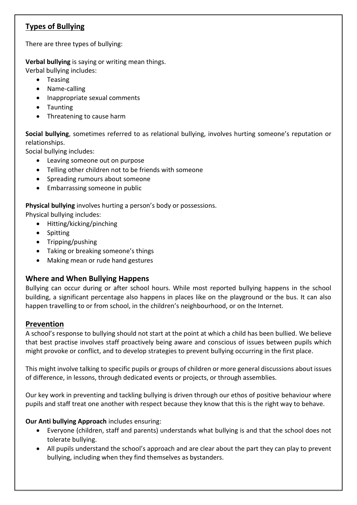# **Types of Bullying**

There are three types of bullying:

**Verbal bullying** is saying or writing mean things. Verbal bullying includes:

- Teasing
- Name-calling
- Inappropriate sexual comments
- Taunting
- Threatening to cause harm

**Social bullying**, sometimes referred to as relational bullying, involves hurting someone's reputation or relationships.

Social bullying includes:

- Leaving someone out on purpose
- Telling other children not to be friends with someone
- Spreading rumours about someone
- Embarrassing someone in public

**Physical bullying** involves hurting a person's body or possessions.

Physical bullying includes:

- Hitting/kicking/pinching
- Spitting
- Tripping/pushing
- Taking or breaking someone's things
- Making mean or rude hand gestures

## **Where and When Bullying Happens**

Bullying can occur during or after school hours. While most reported bullying happens in the school building, a significant percentage also happens in places like on the playground or the bus. It can also happen travelling to or from school, in the children's neighbourhood, or on the Internet.

## **Prevention**

A school's response to bullying should not start at the point at which a child has been bullied. We believe that best practise involves staff proactively being aware and conscious of issues between pupils which might provoke or conflict, and to develop strategies to prevent bullying occurring in the first place.

This might involve talking to specific pupils or groups of children or more general discussions about issues of difference, in lessons, through dedicated events or projects, or through assemblies.

Our key work in preventing and tackling bullying is driven through our ethos of positive behaviour where pupils and staff treat one another with respect because they know that this is the right way to behave.

#### **Our Anti bullying Approach** includes ensuring:

- Everyone (children, staff and parents) understands what bullying is and that the school does not tolerate bullying.
- All pupils understand the school's approach and are clear about the part they can play to prevent bullying, including when they find themselves as bystanders.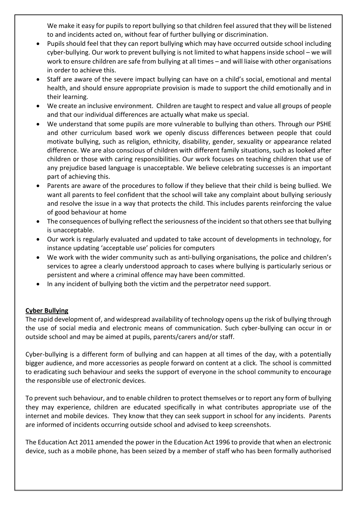We make it easy for pupils to report bullying so that children feel assured that they will be listened to and incidents acted on, without fear of further bullying or discrimination.

- Pupils should feel that they can report bullying which may have occurred outside school including cyber-bullying. Our work to prevent bullying is not limited to what happens inside school – we will work to ensure children are safe from bullying at all times – and will liaise with other organisations in order to achieve this.
- Staff are aware of the severe impact bullying can have on a child's social, emotional and mental health, and should ensure appropriate provision is made to support the child emotionally and in their learning.
- We create an inclusive environment. Children are taught to respect and value all groups of people and that our individual differences are actually what make us special.
- We understand that some pupils are more vulnerable to bullying than others. Through our PSHE and other curriculum based work we openly discuss differences between people that could motivate bullying, such as religion, ethnicity, disability, gender, sexuality or appearance related difference. We are also conscious of children with different family situations, such as looked after children or those with caring responsibilities. Our work focuses on teaching children that use of any prejudice based language is unacceptable. We believe celebrating successes is an important part of achieving this.
- Parents are aware of the procedures to follow if they believe that their child is being bullied. We want all parents to feel confident that the school will take any complaint about bullying seriously and resolve the issue in a way that protects the child. This includes parents reinforcing the value of good behaviour at home
- The consequences of bullying reflect the seriousness of the incident so that others see that bullying is unacceptable.
- Our work is regularly evaluated and updated to take account of developments in technology, for instance updating 'acceptable use' policies for computers
- We work with the wider community such as anti-bullying organisations, the police and children's services to agree a clearly understood approach to cases where bullying is particularly serious or persistent and where a criminal offence may have been committed.
- In any incident of bullying both the victim and the perpetrator need support.

#### **Cyber Bullying**

The rapid development of, and widespread availability of technology opens up the risk of bullying through the use of social media and electronic means of communication. Such cyber-bullying can occur in or outside school and may be aimed at pupils, parents/carers and/or staff.

Cyber-bullying is a different form of bullying and can happen at all times of the day, with a potentially bigger audience, and more accessories as people forward on content at a click. The school is committed to eradicating such behaviour and seeks the support of everyone in the school community to encourage the responsible use of electronic devices.

To prevent such behaviour, and to enable children to protect themselves or to report any form of bullying they may experience, children are educated specifically in what contributes appropriate use of the internet and mobile devices. They know that they can seek support in school for any incidents. Parents are informed of incidents occurring outside school and advised to keep screenshots.

The Education Act 2011 amended the power in the Education Act 1996 to provide that when an electronic device, such as a mobile phone, has been seized by a member of staff who has been formally authorised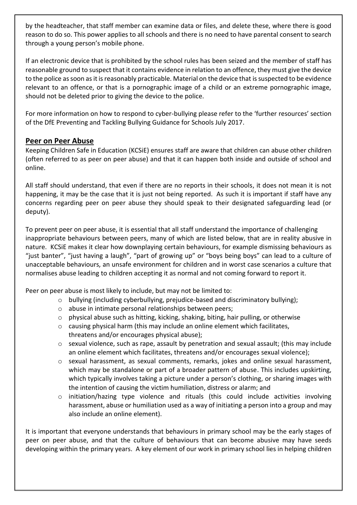by the headteacher, that staff member can examine data or files, and delete these, where there is good reason to do so. This power applies to all schools and there is no need to have parental consent to search through a young person's mobile phone.

If an electronic device that is prohibited by the school rules has been seized and the member of staff has reasonable ground to suspect that it contains evidence in relation to an offence, they must give the device to the police as soon as it is reasonably practicable. Material on the device that is suspected to be evidence relevant to an offence, or that is a pornographic image of a child or an extreme pornographic image, should not be deleted prior to giving the device to the police.

For more information on how to respond to cyber-bullying please refer to the 'further resources' section of the DfE Preventing and Tackling Bullying Guidance for Schools July 2017.

#### **Peer on Peer Abuse**

Keeping Children Safe in Education (KCSiE) ensures staff are aware that children can abuse other children (often referred to as peer on peer abuse) and that it can happen both inside and outside of school and online.

All staff should understand, that even if there are no reports in their schools, it does not mean it is not happening, it may be the case that it is just not being reported. As such it is important if staff have any concerns regarding peer on peer abuse they should speak to their designated safeguarding lead (or deputy).

To prevent peer on peer abuse, it is essential that all staff understand the importance of challenging inappropriate behaviours between peers, many of which are listed below, that are in reality abusive in nature. KCSiE makes it clear how downplaying certain behaviours, for example dismissing behaviours as "just banter", "just having a laugh", "part of growing up" or "boys being boys" can lead to a culture of unacceptable behaviours, an unsafe environment for children and in worst case scenarios a culture that normalises abuse leading to children accepting it as normal and not coming forward to report it.

Peer on peer abuse is most likely to include, but may not be limited to:

- o bullying (including cyberbullying, prejudice-based and discriminatory bullying);
- o abuse in intimate personal relationships between peers;
- o physical abuse such as hitting, kicking, shaking, biting, hair pulling, or otherwise
- $\circ$  causing physical harm (this may include an online element which facilitates, threatens and/or encourages physical abuse);
- o sexual violence, such as rape, assault by penetration and sexual assault; (this may include an online element which facilitates, threatens and/or encourages sexual violence);
- o sexual harassment, as sexual comments, remarks, jokes and online sexual harassment, which may be standalone or part of a broader pattern of abuse. This includes upskirting, which typically involves taking a picture under a person's clothing, or sharing images with the intention of causing the victim humiliation, distress or alarm; and
- o initiation/hazing type violence and rituals (this could include activities involving harassment, abuse or humiliation used as a way of initiating a person into a group and may also include an online element).

It is important that everyone understands that behaviours in primary school may be the early stages of peer on peer abuse, and that the culture of behaviours that can become abusive may have seeds developing within the primary years. A key element of our work in primary school lies in helping children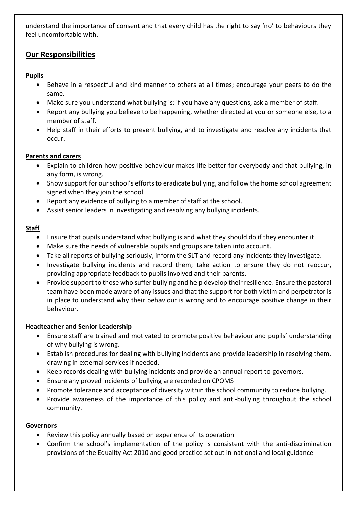understand the importance of consent and that every child has the right to say 'no' to behaviours they feel uncomfortable with.

# **Our Responsibilities**

#### **Pupils**

- Behave in a respectful and kind manner to others at all times; encourage your peers to do the same.
- Make sure you understand what bullying is: if you have any questions, ask a member of staff.
- Report any bullying you believe to be happening, whether directed at you or someone else, to a member of staff.
- Help staff in their efforts to prevent bullying, and to investigate and resolve any incidents that occur.

#### **Parents and carers**

- Explain to children how positive behaviour makes life better for everybody and that bullying, in any form, is wrong.
- Show support for our school's efforts to eradicate bullying, and follow the home school agreement signed when they join the school.
- Report any evidence of bullying to a member of staff at the school.
- Assist senior leaders in investigating and resolving any bullying incidents.

#### **Staff**

- Ensure that pupils understand what bullying is and what they should do if they encounter it.
- Make sure the needs of vulnerable pupils and groups are taken into account.
- Take all reports of bullying seriously, inform the SLT and record any incidents they investigate.
- Investigate bullying incidents and record them; take action to ensure they do not reoccur, providing appropriate feedback to pupils involved and their parents.
- Provide support to those who suffer bullying and help develop their resilience. Ensure the pastoral team have been made aware of any issues and that the support for both victim and perpetrator is in place to understand why their behaviour is wrong and to encourage positive change in their behaviour.

#### **Headteacher and Senior Leadership**

- Ensure staff are trained and motivated to promote positive behaviour and pupils' understanding of why bullying is wrong.
- Establish procedures for dealing with bullying incidents and provide leadership in resolving them, drawing in external services if needed.
- Keep records dealing with bullying incidents and provide an annual report to governors.
- Ensure any proved incidents of bullying are recorded on CPOMS
- Promote tolerance and acceptance of diversity within the school community to reduce bullying.
- Provide awareness of the importance of this policy and anti-bullying throughout the school community.

#### **Governors**

- Review this policy annually based on experience of its operation
- Confirm the school's implementation of the policy is consistent with the anti-discrimination provisions of the Equality Act 2010 and good practice set out in national and local guidance